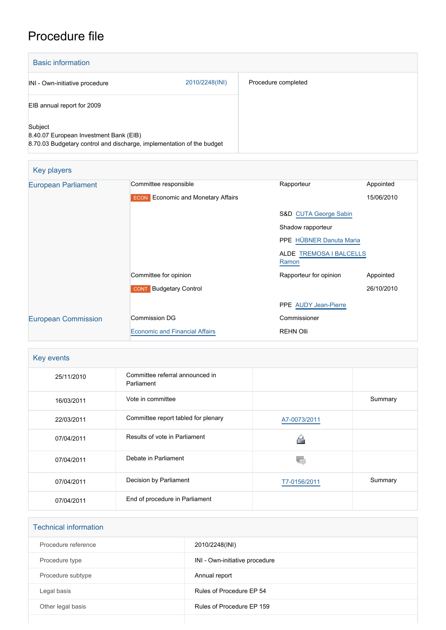## Procedure file

| <b>Basic information</b>                                                                                                   |                |                     |
|----------------------------------------------------------------------------------------------------------------------------|----------------|---------------------|
| INI - Own-initiative procedure                                                                                             | 2010/2248(INI) | Procedure completed |
| EIB annual report for 2009                                                                                                 |                |                     |
| Subject<br>8.40.07 European Investment Bank (EIB)<br>8.70.03 Budgetary control and discharge, implementation of the budget |                |                     |

| <b>Key players</b>         |                                                     |                                  |            |  |
|----------------------------|-----------------------------------------------------|----------------------------------|------------|--|
| <b>European Parliament</b> | Committee responsible                               | Rapporteur                       | Appointed  |  |
|                            | <b>Economic and Monetary Affairs</b><br><b>ECON</b> |                                  | 15/06/2010 |  |
|                            |                                                     | <b>S&amp;D CUTA George Sabin</b> |            |  |
|                            |                                                     | Shadow rapporteur                |            |  |
|                            |                                                     | PPE HÜBNER Danuta Maria          |            |  |
|                            |                                                     | ALDE TREMOSA I BALCELLS<br>Ramon |            |  |
|                            | Committee for opinion                               | Rapporteur for opinion           | Appointed  |  |
|                            | <b>CONT</b> Budgetary Control                       |                                  | 26/10/2010 |  |
|                            |                                                     | PPE AUDY Jean-Pierre             |            |  |
| <b>European Commission</b> | <b>Commission DG</b>                                | Commissioner                     |            |  |
|                            | <b>Economic and Financial Affairs</b>               | <b>REHN Olli</b>                 |            |  |

#### Key events

| 25/11/2010 | Committee referral announced in<br>Parliament |              |         |
|------------|-----------------------------------------------|--------------|---------|
| 16/03/2011 | Vote in committee                             |              | Summary |
| 22/03/2011 | Committee report tabled for plenary           | A7-0073/2011 |         |
| 07/04/2011 | Results of vote in Parliament                 |              |         |
| 07/04/2011 | Debate in Parliament                          |              |         |
| 07/04/2011 | Decision by Parliament                        | T7-0156/2011 | Summary |
| 07/04/2011 | End of procedure in Parliament                |              |         |

# Technical information Procedure reference 2010/2248(INI) Procedure type **INI** - Own-initiative procedure Procedure subtype **Annual report** Legal basis **Rules of Procedure EP 54** Other legal basis **COLOREG 2018** Rules of Procedure EP 159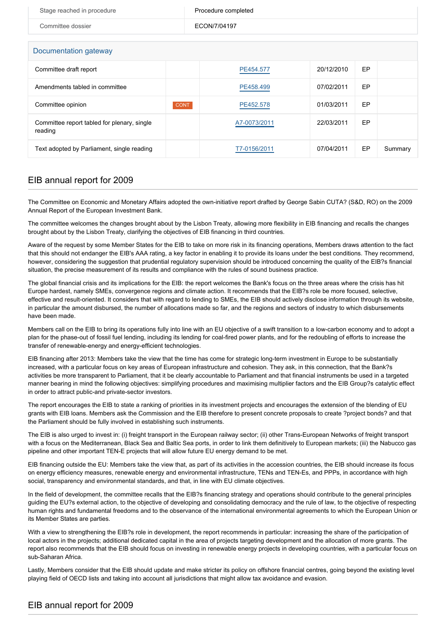| Stage reached in procedure                             | Procedure completed |              |            |    |         |  |  |
|--------------------------------------------------------|---------------------|--------------|------------|----|---------|--|--|
| Committee dossier                                      |                     | ECON/7/04197 |            |    |         |  |  |
|                                                        |                     |              |            |    |         |  |  |
| Documentation gateway                                  |                     |              |            |    |         |  |  |
| Committee draft report                                 |                     | PE454.577    | 20/12/2010 | EP |         |  |  |
| Amendments tabled in committee                         |                     | PE458.499    | 07/02/2011 | EP |         |  |  |
| Committee opinion                                      | <b>CONT</b>         | PE452.578    | 01/03/2011 | EP |         |  |  |
| Committee report tabled for plenary, single<br>reading |                     | A7-0073/2011 | 22/03/2011 | EP |         |  |  |
| Text adopted by Parliament, single reading             |                     | T7-0156/2011 | 07/04/2011 | EP | Summary |  |  |

### EIB annual report for 2009

The Committee on Economic and Monetary Affairs adopted the own-initiative report drafted by George Sabin CUTA? (S&D, RO) on the 2009 Annual Report of the European Investment Bank.

The committee welcomes the changes brought about by the Lisbon Treaty, allowing more flexibility in EIB financing and recalls the changes brought about by the Lisbon Treaty, clarifying the objectives of EIB financing in third countries.

Aware of the request by some Member States for the EIB to take on more risk in its financing operations, Members draws attention to the fact that this should not endanger the EIB's AAA rating, a key factor in enabling it to provide its loans under the best conditions. They recommend, however, considering the suggestion that prudential regulatory supervision should be introduced concerning the quality of the EIB?s financial situation, the precise measurement of its results and compliance with the rules of sound business practice.

The global financial crisis and its implications for the EIB: the report welcomes the Bank's focus on the three areas where the crisis has hit Europe hardest, namely SMEs, convergence regions and climate action. It recommends that the EIB?s role be more focused, selective, effective and result-oriented. It considers that with regard to lending to SMEs, the EIB should actively disclose information through its website, in particular the amount disbursed, the number of allocations made so far, and the regions and sectors of industry to which disbursements have been made.

Members call on the EIB to bring its operations fully into line with an EU objective of a swift transition to a low-carbon economy and to adopt a plan for the phase-out of fossil fuel lending, including its lending for coal-fired power plants, and for the redoubling of efforts to increase the transfer of renewable-energy and energy-efficient technologies.

EIB financing after 2013: Members take the view that the time has come for strategic long-term investment in Europe to be substantially increased, with a particular focus on key areas of European infrastructure and cohesion. They ask, in this connection, that the Bank?s activities be more transparent to Parliament, that it be clearly accountable to Parliament and that financial instruments be used in a targeted manner bearing in mind the following objectives: simplifying procedures and maximising multiplier factors and the EIB Group?s catalytic effect in order to attract public-and private-sector investors.

The report encourages the EIB to state a ranking of priorities in its investment projects and encourages the extension of the blending of EU grants with EIB loans. Members ask the Commission and the EIB therefore to present concrete proposals to create ?project bonds? and that the Parliament should be fully involved in establishing such instruments.

The EIB is also urged to invest in: (i) freight transport in the European railway sector; (ii) other Trans-European Networks of freight transport with a focus on the Mediterranean, Black Sea and Baltic Sea ports, in order to link them definitively to European markets; (iii) the Nabucco gas pipeline and other important TEN-E projects that will allow future EU energy demand to be met.

EIB financing outside the EU: Members take the view that, as part of its activities in the accession countries, the EIB should increase its focus on energy efficiency measures, renewable energy and environmental infrastructure, TENs and TEN-Es, and PPPs, in accordance with high social, transparency and environmental standards, and that, in line with EU climate objectives.

In the field of development, the committee recalls that the EIB?s financing strategy and operations should contribute to the general principles guiding the EU?s external action, to the objective of developing and consolidating democracy and the rule of law, to the objective of respecting human rights and fundamental freedoms and to the observance of the international environmental agreements to which the European Union or its Member States are parties.

With a view to strengthening the EIB?s role in development, the report recommends in particular: increasing the share of the participation of local actors in the projects; additional dedicated capital in the area of projects targeting development and the allocation of more grants. The report also recommends that the EIB should focus on investing in renewable energy projects in developing countries, with a particular focus on sub-Saharan Africa.

Lastly, Members consider that the EIB should update and make stricter its policy on offshore financial centres, going beyond the existing level playing field of OECD lists and taking into account all jurisdictions that might allow tax avoidance and evasion.

### EIB annual report for 2009